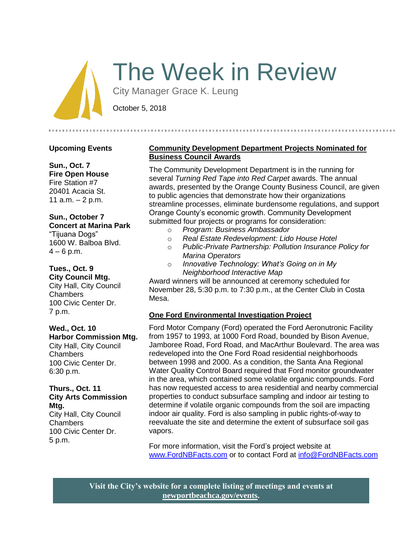# The Week in Review

City Manager Grace K. Leung

October 5, 2018

## **Upcoming Events**

**Sun., Oct. 7 Fire Open House** Fire Station #7 20401 Acacia St. 11  $a.m. - 2 p.m.$ 

### **Sun., October 7 Concert at Marina Park** "Tijuana Dogs" 1600 W. Balboa Blvd.

 $4 - 6$  p.m.

#### **Tues., Oct. 9 City Council Mtg.** City Hall, City Council

Chambers 100 Civic Center Dr. 7 p.m.

#### **Wed., Oct. 10 Harbor Commission Mtg.** City Hall, City Council

Chambers 100 Civic Center Dr. 6:30 p.m.

# **Thurs., Oct. 11 City Arts Commission Mtg.**

City Hall, City Council Chambers 100 Civic Center Dr. 5 p.m.

#### **Community Development Department Projects Nominated for Business Council Awards**

The Community Development Department is in the running for several *Turning Red Tape into Red Carpet* awards. The annual awards, presented by the Orange County Business Council, are given to public agencies that demonstrate how their organizations streamline processes, eliminate burdensome regulations, and support Orange County's economic growth. Community Development submitted four projects or programs for consideration:

- o *Program: Business Ambassador*
- o *Real Estate Redevelopment: Lido House Hotel*
- o *Public-Private Partnership: Pollution Insurance Policy for Marina Operators*
- o *Innovative Technology: What's Going on in My Neighborhood Interactive Map*

Award winners will be announced at ceremony scheduled for November 28, 5:30 p.m. to 7:30 p.m., at the Center Club in Costa Mesa.

# **One Ford Environmental Investigation Project**

Ford Motor Company (Ford) operated the Ford Aeronutronic Facility from 1957 to 1993, at 1000 Ford Road, bounded by Bison Avenue, Jamboree Road, Ford Road, and MacArthur Boulevard. The area was redeveloped into the One Ford Road residential neighborhoods between 1998 and 2000. As a condition, the Santa Ana Regional Water Quality Control Board required that Ford monitor groundwater in the area, which contained some volatile organic compounds. Ford has now requested access to area residential and nearby commercial properties to conduct subsurface sampling and indoor air testing to determine if volatile organic compounds from the soil are impacting indoor air quality. Ford is also sampling in public rights-of-way to reevaluate the site and determine the extent of subsurface soil gas vapors.

For more information, visit the Ford's project website at [www.FordNBFacts.com](file://///cnb.lcl/data/Users/CMO/Shared/Newsletters/www.FordNBFacts.com%20) or to contact Ford at [info@FordNBFacts.com](file://///cnb.lcl/data/Users/CMO/Shared/Newsletters/info@FordNBFacts.com)

**Visit the City's website for a complete listing of meetings and events at [newportbeachca.gov/events.](https://www.newportbeachca.gov/government/open-government/city-calendar)**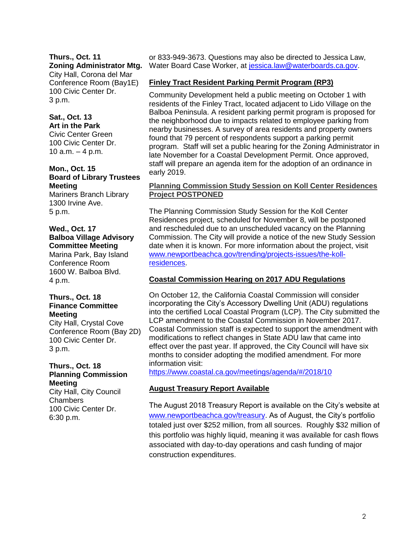**Thurs., Oct. 11 Zoning Administrator Mtg.** City Hall, Corona del Mar Conference Room (Bay1E) 100 Civic Center Dr. 3 p.m.

#### **Sat., Oct. 13 Art in the Park** Civic Center Green 100 Civic Center Dr. 10  $a.m. - 4 p.m.$

#### **Mon., Oct. 15 Board of Library Trustees Meeting**

Mariners Branch Library 1300 Irvine Ave. 5 p.m.

# **Wed., Oct. 17 Balboa Village Advisory Committee Meeting**

Marina Park, Bay Island Conference Room 1600 W. Balboa Blvd. 4 p.m.

### **Thurs., Oct. 18 Finance Committee Meeting**

City Hall, Crystal Cove Conference Room (Bay 2D) 100 Civic Center Dr. 3 p.m.

#### **Thurs., Oct. 18 Planning Commission Meeting**

City Hall, City Council Chambers 100 Civic Center Dr. 6:30 p.m.

or 833-949-3673. Questions may also be directed to Jessica Law, Water Board Case Worker, at [jessica.law@waterboards.ca.gov.](file://///cnb.lcl/data/Users/CMO/Shared/Newsletters/jessica.law@waterboards.ca.gov)

# **Finley Tract Resident Parking Permit Program (RP3)**

Community Development held a public meeting on October 1 with residents of the Finley Tract, located adjacent to Lido Village on the Balboa Peninsula. A resident parking permit program is proposed for the neighborhood due to impacts related to employee parking from nearby businesses. A survey of area residents and property owners found that 79 percent of respondents support a parking permit program. Staff will set a public hearing for the Zoning Administrator in late November for a Coastal Development Permit. Once approved, staff will prepare an agenda item for the adoption of an ordinance in early 2019.

#### **Planning Commission Study Session on Koll Center Residences Project POSTPONED**

The Planning Commission Study Session for the Koll Center Residences project, scheduled for November 8, will be postponed and rescheduled due to an unscheduled vacancy on the Planning Commission. The City will provide a notice of the new Study Session date when it is known. For more information about the project, visit [www.newportbeachca.gov/trending/projects-issues/the-koll](http://www.newportbeachca.gov/trending/projects-issues/the-koll-residences)[residences.](http://www.newportbeachca.gov/trending/projects-issues/the-koll-residences)

## **Coastal Commission Hearing on 2017 ADU Regulations**

On October 12, the California Coastal Commission will consider incorporating the City's Accessory Dwelling Unit (ADU) regulations into the certified Local Coastal Program (LCP). The City submitted the LCP amendment to the Coastal Commission in November 2017. Coastal Commission staff is expected to support the amendment with modifications to reflect changes in State ADU law that came into effect over the past year. If approved, the City Council will have six months to consider adopting the modified amendment. For more information visit:

<https://www.coastal.ca.gov/meetings/agenda/#/2018/10>

## **August Treasury Report Available**

The August 2018 Treasury Report is available on the City's website at [www.newportbeachca.gov/treasury.](http://www.newportbeachca.gov/treasury) As of August, the City's portfolio totaled just over \$252 million, from all sources. Roughly \$32 million of this portfolio was highly liquid, meaning it was available for cash flows associated with day-to-day operations and cash funding of major construction expenditures.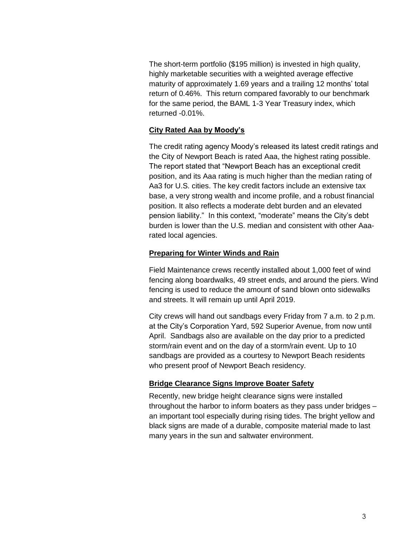The short-term portfolio (\$195 million) is invested in high quality, highly marketable securities with a weighted average effective maturity of approximately 1.69 years and a trailing 12 months' total return of 0.46%. This return compared favorably to our benchmark for the same period, the BAML 1-3 Year Treasury index, which returned -0.01%.

#### **City Rated Aaa by Moody's**

The credit rating agency Moody's released its latest credit ratings and the City of Newport Beach is rated Aaa, the highest rating possible. The report stated that "Newport Beach has an exceptional credit position, and its Aaa rating is much higher than the median rating of Aa3 for U.S. cities. The key credit factors include an extensive tax base, a very strong wealth and income profile, and a robust financial position. It also reflects a moderate debt burden and an elevated pension liability." In this context, "moderate" means the City's debt burden is lower than the U.S. median and consistent with other Aaarated local agencies.

#### **Preparing for Winter Winds and Rain**

Field Maintenance crews recently installed about 1,000 feet of wind fencing along boardwalks, 49 street ends, and around the piers. Wind fencing is used to reduce the amount of sand blown onto sidewalks and streets. It will remain up until April 2019.

City crews will hand out sandbags every Friday from 7 a.m. to 2 p.m. at the City's Corporation Yard, 592 Superior Avenue, from now until April. Sandbags also are available on the day prior to a predicted storm/rain event and on the day of a storm/rain event. Up to 10 sandbags are provided as a courtesy to Newport Beach residents who present proof of Newport Beach residency.

## **Bridge Clearance Signs Improve Boater Safety**

Recently, new bridge height clearance signs were installed throughout the harbor to inform boaters as they pass under bridges – an important tool especially during rising tides. The bright yellow and black signs are made of a durable, composite material made to last many years in the sun and saltwater environment.